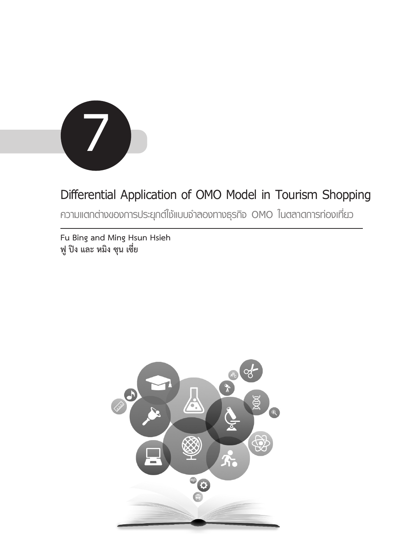

# **Differential Application of OMO Model in Tourism Shopping**

**ความแตกต่างของการประยุกต์ใช้แบบจำลองทางธุรกิจ OMO ในตลาดการท่องเที่ยว**

**Fu Bing and Ming Hsun Hsieh ฟู ปิง และ หมิง ซุน เซี่ย**

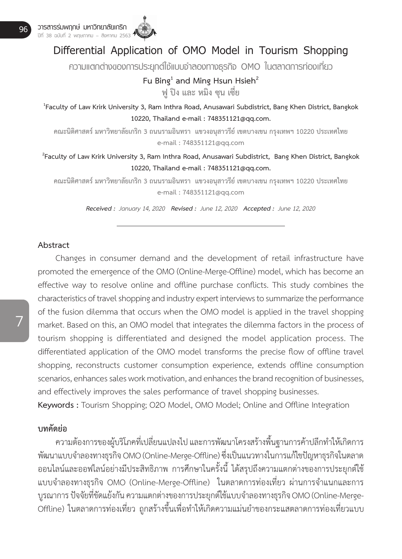### **Differential Application of OMO Model in Tourism Shopping**

**ความแตกต่างของการประยุกต์ใช้แบบจำลองทางธุรกิจ OMO ในตลาดการท่องเที่ยว**

## **Fu Bing<sup>1</sup>** and Ming Hsun Hsieh<sup>2</sup>

**ฟู ปิง และ หมิง ซุน เซี่ย**

**1 Faculty of Law Krirk University 3, Ram Inthra Road, Anusawari Subdistrict, Bang Khen District, Bangkok 10220, Thailand e-mail : 748351121@qq.com.**

**คณะนิติศาสตร์ มหาวิทยาลัยเกริก 3 ถนนรามอินทรา แขวงอนุสาวรีย์ เขตบางเขน กรุงเทพฯ 10220 ประเทศไทย e-mail : 748351121@qq.com**

**2 Faculty of Law Krirk University 3, Ram Inthra Road, Anusawari Subdistrict, Bang Khen District, Bangkok 10220, Thailand e-mail : 748351121@qq.com.**

**คณะนิติศาสตร์ มหาวิทยาลัยเกริก 3 ถนนรามอินทรา แขวงอนุสาวรีย์ เขตบางเขน กรุงเทพฯ 10220 ประเทศไทย e-mail : 748351121@qq.com**

*Received : January 14, 2020 Revised : June 12, 2020 Accepted : June 12, 2020*

#### **Abstract**

 Changes in consumer demand and the development of retail infrastructure have promoted the emergence of the OMO (Online-Merge-Offline) model, which has become an effective way to resolve online and offline purchase conflicts. This study combines the characteristics of travel shopping and industry expert interviews to summarize the performance of the fusion dilemma that occurs when the OMO model is applied in the travel shopping market. Based on this, an OMO model that integrates the dilemma factors in the process of tourism shopping is differentiated and designed the model application process. The differentiated application of the OMO model transforms the precise flow of offline travel shopping, reconstructs customer consumption experience, extends offline consumption scenarios, enhances sales work motivation, and enhances the brand recognition of businesses, and effectively improves the sales performance of travel shopping businesses.

**Keywords :** Tourism Shopping; O2O Model, OMO Model; Online and Offline Integration

### **บทคัดย่อ**

 ความต้องการของผู้บริโภคที่เปลี่ยนแปลงไป และการพัฒนาโครงสร้างพื้นฐานการค้าปลีกท�ำให้เกิดการ พัฒนาแบบจำลองทางธุรกิจ OMO (Online-Merge-Offline) ซึ่งเป็นแนวทางในการแก้ไขปัญหาธุรกิจในตลาด ออนไลน์และออฟไลน์อย่างมีประสิทธิภาพ การศึกษาในครั้งนี้ได้สรุปถึงความแตกต่างของการประยุกต์ใช้ แบบจำลองทางธุรกิจ OMO (Online-Merge-Offline) ในตลาดการท่องเที่ยว ผ่านการจำแนกและการ บูรณาการ ปัจจัยที่ขัดแย้งกัน ความแตกต่างของการประยุกต์ใช้แบบจ�ำลองทางธุรกิจ OMO (Online-Merge-Offline) ในตลาดการท่องเที่ยว ถูกสร้างขึ้นเพื่อทำให้เกิดความแม่นยำของกระแสตลาดการท่องเที่ยวแบบ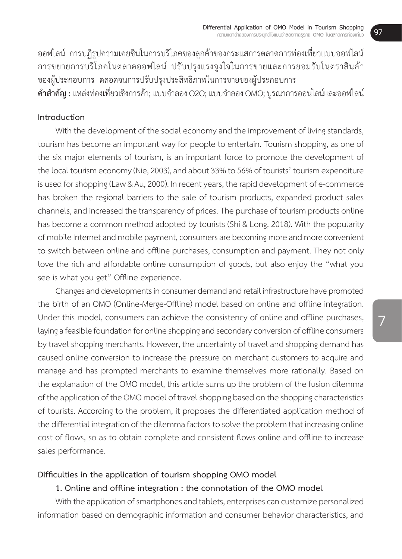้ออฟไลน์ การปฏิรูปความเคยชินในการบริโภคของลูกค้าของกระแสการตลาดการท่องเที่ยวแบบออฟไลน์ การขยายการบริโภคในตลาดออฟไลน์ ปรับปรุงแรงจูงใจในการขายและการยอมรับในตราสินค้า ของผู้ประกอบการ ตลอดจนการปรับปรุงประสิทธิภาพในการขายของผู้ประกอบการ **ค�ำส�ำคัญ :** แหล่งท่องเที่ยวเชิงการค้า;แบบจ�ำลอง O2O;แบบจ�ำลอง OMO; บูรณาการออนไลน์และออฟไลน์

#### **Introduction**

With the development of the social economy and the improvement of living standards, tourism has become an important way for people to entertain. Tourism shopping, as one of the six major elements of tourism, is an important force to promote the development of the local tourism economy (Nie, 2003), and about 33% to 56% of tourists' tourism expenditure is used for shopping (Law & Au, 2000). In recent years, the rapid development of e-commerce has broken the regional barriers to the sale of tourism products, expanded product sales channels, and increased the transparency of prices. The purchase of tourism products online has become a common method adopted by tourists (Shi & Long, 2018). With the popularity of mobile Internet and mobile payment, consumers are becoming more and more convenient to switch between online and offline purchases, consumption and payment. They not only love the rich and affordable online consumption of goods, but also enjoy the "what you see is what you get" Offline experience.

Changes and developments in consumer demand and retail infrastructure have promoted the birth of an OMO (Online-Merge-Offline) model based on online and offline integration. Under this model, consumers can achieve the consistency of online and offline purchases, laying a feasible foundation for online shopping and secondary conversion of offline consumers by travel shopping merchants. However, the uncertainty of travel and shopping demand has caused online conversion to increase the pressure on merchant customers to acquire and manage and has prompted merchants to examine themselves more rationally. Based on the explanation of the OMO model, this article sums up the problem of the fusion dilemma of the application of the OMO model of travel shopping based on the shopping characteristics of tourists. According to the problem, it proposes the differentiated application method of the differential integration of the dilemma factors to solve the problem that increasing online cost of flows, so as to obtain complete and consistent flows online and offline to increase sales performance.

#### **Difficulties in the application of tourism shopping OMO model**

#### **1. Online and offline integration : the connotation of the OMO model**

With the application of smartphones and tablets, enterprises can customize personalized information based on demographic information and consumer behavior characteristics, and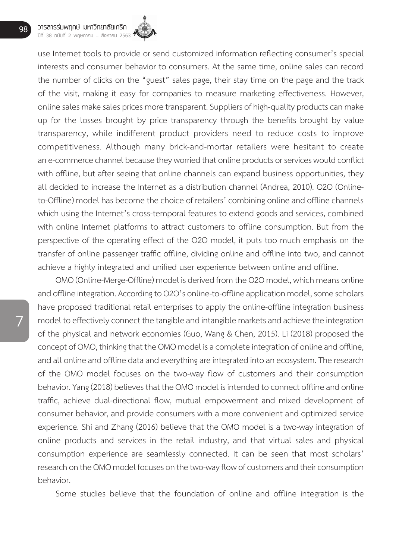use Internet tools to provide or send customized information reflecting consumer's special interests and consumer behavior to consumers. At the same time, online sales can record the number of clicks on the "guest" sales page, their stay time on the page and the track of the visit, making it easy for companies to measure marketing effectiveness. However, online sales make sales prices more transparent. Suppliers of high-quality products can make up for the losses brought by price transparency through the benefits brought by value transparency, while indifferent product providers need to reduce costs to improve competitiveness. Although many brick-and-mortar retailers were hesitant to create an e-commerce channel because they worried that online products or services would conflict with offline, but after seeing that online channels can expand business opportunities, they all decided to increase the Internet as a distribution channel (Andrea, 2010). O2O (Onlineto-Offline) model has become the choice of retailers' combining online and offline channels which using the Internet's cross-temporal features to extend goods and services, combined with online Internet platforms to attract customers to offline consumption. But from the perspective of the operating effect of the O2O model, it puts too much emphasis on the transfer of online passenger traffic offline, dividing online and offline into two, and cannot achieve a highly integrated and unified user experience between online and offline.

OMO (Online-Merge-Offline) model is derived from the O2O model, which means online and offline integration. According to O2O's online-to-offline application model, some scholars have proposed traditional retail enterprises to apply the online-offline integration business model to effectively connect the tangible and intangible markets and achieve the integration of the physical and network economies (Guo, Wang & Chen, 2015). Li (2018) proposed the concept of OMO, thinking that the OMO model is a complete integration of online and offline, and all online and offline data and everything are integrated into an ecosystem. The research of the OMO model focuses on the two-way flow of customers and their consumption behavior. Yang (2018) believes that the OMO model is intended to connect offline and online traffic, achieve dual-directional flow, mutual empowerment and mixed development of consumer behavior, and provide consumers with a more convenient and optimized service experience. Shi and Zhang (2016) believe that the OMO model is a two-way integration of online products and services in the retail industry, and that virtual sales and physical consumption experience are seamlessly connected. It can be seen that most scholars' research on the OMO model focuses on the two-way flow of customers and their consumption behavior.

 Some studies believe that the foundation of online and offline integration is the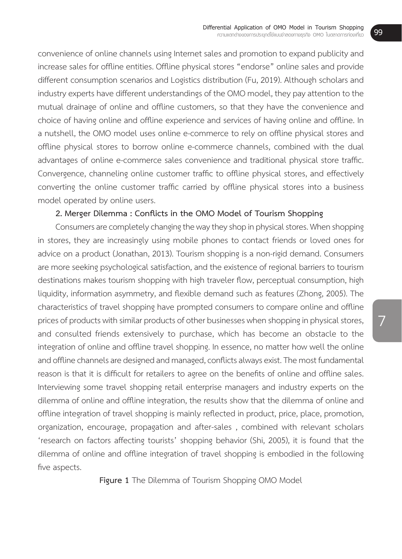convenience of online channels using Internet sales and promotion to expand publicity and increase sales for offline entities. Offline physical stores "endorse" online sales and provide different consumption scenarios and Logistics distribution (Fu, 2019). Although scholars and industry experts have different understandings of the OMO model, they pay attention to the mutual drainage of online and offline customers, so that they have the convenience and choice of having online and offline experience and services of having online and offline. In a nutshell, the OMO model uses online e-commerce to rely on offline physical stores and offline physical stores to borrow online e-commerce channels, combined with the dual advantages of online e-commerce sales convenience and traditional physical store traffic. Convergence, channeling online customer traffic to offline physical stores, and effectively converting the online customer traffic carried by offline physical stores into a business model operated by online users.

#### **2. Merger Dilemma : Conflicts in the OMO Model of Tourism Shopping**

Consumers are completely changing the way they shop in physical stores. When shopping in stores, they are increasingly using mobile phones to contact friends or loved ones for advice on a product (Jonathan, 2013). Tourism shopping is a non-rigid demand. Consumers are more seeking psychological satisfaction, and the existence of regional barriers to tourism destinations makes tourism shopping with high traveler flow, perceptual consumption, high liquidity, information asymmetry, and flexible demand such as features (Zhong, 2005). The characteristics of travel shopping have prompted consumers to compare online and offline prices of products with similar products of other businesses when shopping in physical stores, and consulted friends extensively to purchase, which has become an obstacle to the integration of online and offline travel shopping. In essence, no matter how well the online and offline channels are designed and managed, conflicts always exist. The most fundamental reason is that it is difficult for retailers to agree on the benefits of online and offline sales. Interviewing some travel shopping retail enterprise managers and industry experts on the dilemma of online and offline integration, the results show that the dilemma of online and offline integration of travel shopping is mainly reflected in product, price, place, promotion, organization, encourage, propagation and after-sales , combined with relevant scholars 'research on factors affecting tourists' shopping behavior (Shi, 2005), it is found that the dilemma of online and offline integration of travel shopping is embodied in the following five aspects.

**Figure 1** The Dilemma of Tourism Shopping OMO Model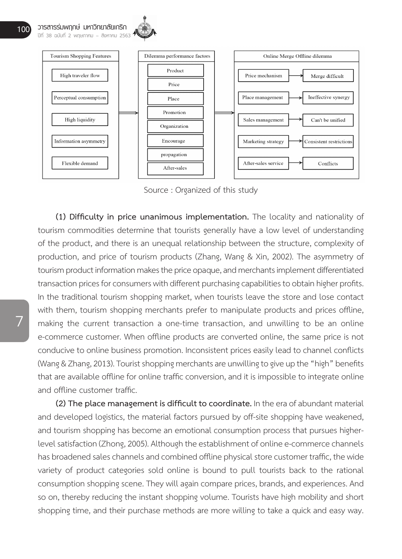



Source : Organized of this study

**(1) Difficulty in price unanimous implementation.** The locality and nationality of tourism commodities determine that tourists generally have a low level of understanding of the product, and there is an unequal relationship between the structure, complexity of production, and price of tourism products (Zhang, Wang & Xin, 2002). The asymmetry of tourism product information makes the price opaque, and merchants implement differentiated transaction prices for consumers with different purchasing capabilities to obtain higher profits. In the traditional tourism shopping market, when tourists leave the store and lose contact with them, tourism shopping merchants prefer to manipulate products and prices offline, making the current transaction a one-time transaction, and unwilling to be an online e-commerce customer. When offline products are converted online, the same price is not conducive to online business promotion. Inconsistent prices easily lead to channel conflicts (Wang & Zhang, 2013). Tourist shopping merchants are unwilling to give up the "high" benefits that are available offline for online traffic conversion, and it is impossible to integrate online and offline customer traffic.

**(2) The place management is difficult to coordinate.** In the era of abundant material and developed logistics, the material factors pursued by off-site shopping have weakened, and tourism shopping has become an emotional consumption process that pursues higherlevel satisfaction (Zhong, 2005). Although the establishment of online e-commerce channels has broadened sales channels and combined offline physical store customer traffic, the wide variety of product categories sold online is bound to pull tourists back to the rational consumption shopping scene. They will again compare prices, brands, and experiences. And so on, thereby reducing the instant shopping volume. Tourists have high mobility and short shopping time, and their purchase methods are more willing to take a quick and easy way.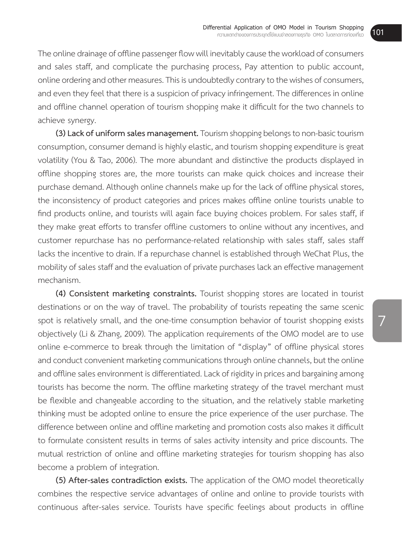The online drainage of offline passenger flow will inevitably cause the workload of consumers and sales staff, and complicate the purchasing process, Pay attention to public account, online ordering and other measures. This is undoubtedly contrary to the wishes of consumers, and even they feel that there is a suspicion of privacy infringement. The differences in online and offline channel operation of tourism shopping make it difficult for the two channels to achieve synergy.

**(3) Lack of uniform sales management.**Tourismshopping belongstonon-basictourism consumption, consumer demand is highly elastic, and tourism shopping expenditure is great volatility (You & Tao, 2006). The more abundant and distinctive the products displayed in offline shopping stores are, the more tourists can make quick choices and increase their purchase demand. Although online channels make up for the lack of offline physical stores, the inconsistency of product categories and prices makes offline online tourists unable to find products online, and tourists will again face buying choices problem. For sales staff, if they make great efforts to transfer offline customers to online without any incentives, and customer repurchase has no performance-related relationship with sales staff, sales staff lacks the incentive to drain. If a repurchase channel is established through WeChat Plus, the mobility of sales staff and the evaluation of private purchases lack an effective management mechanism.

**(4) Consistent marketing constraints.** Tourist shopping stores are located in tourist destinations or on the way of travel. The probability of tourists repeating the same scenic spot is relatively small, and the one-time consumption behavior of tourist shopping exists objectively (Li & Zhang, 2009). The application requirements of the OMO model are to use online e-commerce to break through the limitation of "display" of offline physical stores and conduct convenient marketing communications through online channels, but the online and offline sales environment is differentiated. Lack of rigidity in prices and bargaining among tourists has become the norm. The offline marketing strategy of the travel merchant must be flexible and changeable according to the situation, and the relatively stable marketing thinking must be adopted online to ensure the price experience of the user purchase. The difference between online and offline marketing and promotion costs also makes it difficult to formulate consistent results in terms of sales activity intensity and price discounts. The mutual restriction of online and offline marketing strategies for tourism shopping has also become a problem of integration.

**(5) After-sales contradiction exists.** The application of the OMO model theoretically combines the respective service advantages of online and online to provide tourists with continuous after-sales service. Tourists have specific feelings about products in offline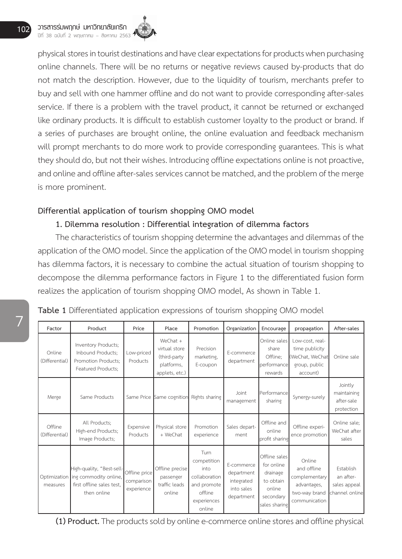physical stores in tourist destinations and have clear expectations for products when purchasing online channels. There will be no returns or negative reviews caused by-products that do not match the description. However, due to the liquidity of tourism, merchants prefer to buy and sell with one hammer offline and do not want to provide corresponding after-sales service. If there is a problem with the travel product, it cannot be returned or exchanged like ordinary products. It is difficult to establish customer loyalty to the product or brand. If a series of purchases are brought online, the online evaluation and feedback mechanism will prompt merchants to do more work to provide corresponding guarantees. This is what they should do, but not their wishes. Introducing offline expectations online is not proactive, and online and offline after-sales services cannot be matched, and the problem of the merge is more prominent.

#### **Differential application of tourism shopping OMO model**

### **1. Dilemma resolution : Differential integration of dilemma factors**

The characteristics of tourism shopping determine the advantages and dilemmas of the application of the OMO model. Since the application of the OMO model in tourism shopping has dilemma factors, it is necessary to combine the actual situation of tourism shopping to decompose the dilemma performance factors in Figure 1 to the differentiated fusion form realizes the application of tourism shopping OMO model, As shown in Table 1.

| Table 1 Differentiated application expressions of tourism shopping OMO model |  |  |  |  |  |
|------------------------------------------------------------------------------|--|--|--|--|--|
|------------------------------------------------------------------------------|--|--|--|--|--|

| Factor                    | Product                                                                                                     | Price                                     | Place                                                                        | Promotion                                                                                       | Organization                                                       | Encourage                                                                                    | propagation                                                                             | After-sales                                              |
|---------------------------|-------------------------------------------------------------------------------------------------------------|-------------------------------------------|------------------------------------------------------------------------------|-------------------------------------------------------------------------------------------------|--------------------------------------------------------------------|----------------------------------------------------------------------------------------------|-----------------------------------------------------------------------------------------|----------------------------------------------------------|
| Online<br>(Differential)  | Inventory Products;<br>Inbound Products;<br>Promotion Products;<br>Featured Products;                       | Low-priced<br>Products                    | $We Chat +$<br>virtual store<br>(third-party<br>platforms,<br>applets, etc.) | Precision<br>marketing,<br>E-coupon                                                             | E-commerce<br>department                                           | Online sales<br>share<br>Offline;<br>performance<br>rewards                                  | Low-cost, real-<br>time publicity<br>(WeChat, WeChat<br>group, public<br>account)       | Online sale                                              |
| Merge                     | Same Products                                                                                               | Same Price                                | Same cognition                                                               | Rights sharing                                                                                  | Joint<br>management                                                | Performance<br>sharing                                                                       | Synergy-surely                                                                          | Jointly<br>maintaining<br>after-sale<br>protection       |
| Offline<br>(Differential) | All Products;<br>High-end Products;<br>Image Products;                                                      | Expensive<br>Products                     | Physical store<br>+ WeChat                                                   | Promotion<br>experience                                                                         | Sales depart-<br>ment                                              | Offline and<br>online<br>profit sharing                                                      | Offline experi-<br>ence promotion                                                       | Online sale:<br>WeChat after<br>sales                    |
| measures                  | High-quality, "Best-sell-<br>Optimization ing commodity online,<br>first offline sales test.<br>then online | Offline price<br>comparison<br>experience | Offline precise<br>passenger<br>traffic leads<br>online                      | Turn<br>competition<br>into<br>collaboration<br>and promote<br>offline<br>experiences<br>online | E-commerce<br>department<br>integrated<br>into sales<br>department | Offline sales<br>for online<br>drainage<br>to obtain<br>online<br>secondary<br>sales sharing | Online<br>and offline<br>complementary<br>advantages.<br>two-way brand<br>communication | Establish<br>an after-<br>sales appeal<br>channel online |

**(1) Product.** The products sold by online e-commerce online stores and offline physical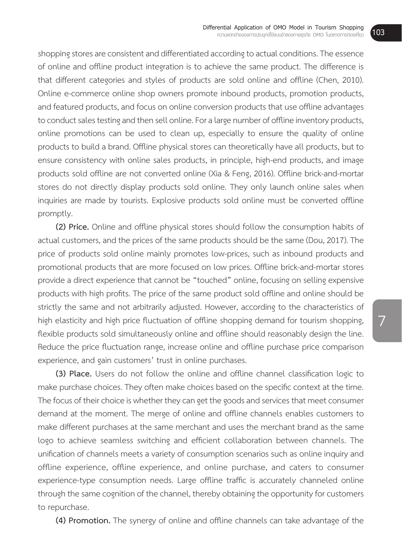shopping stores are consistent and differentiated according to actual conditions. The essence of online and offline product integration is to achieve the same product. The difference is that different categories and styles of products are sold online and offline (Chen, 2010). Online e-commerce online shop owners promote inbound products, promotion products, and featured products, and focus on online conversion products that use offline advantages to conduct sales testing and then sell online. For a large number of offline inventory products, online promotions can be used to clean up, especially to ensure the quality of online products to build a brand. Offline physical stores can theoretically have all products, but to ensure consistency with online sales products, in principle, high-end products, and image products sold offline are not converted online (Xia & Feng, 2016). Offline brick-and-mortar stores do not directly display products sold online. They only launch online sales when inquiries are made by tourists. Explosive products sold online must be converted offline promptly.

**(2) Price.** Online and offline physical stores should follow the consumption habits of actual customers, and the prices of the same products should be the same (Dou, 2017). The price of products sold online mainly promotes low-prices, such as inbound products and promotional products that are more focused on low prices. Offline brick-and-mortar stores provide a direct experience that cannot be "touched" online, focusing on selling expensive products with high profits. The price of the same product sold offline and online should be strictly the same and not arbitrarily adjusted. However, according to the characteristics of high elasticity and high price fluctuation of offline shopping demand for tourism shopping, flexible products sold simultaneously online and offline should reasonably design the line. Reduce the price fluctuation range, increase online and offline purchase price comparison experience, and gain customers' trust in online purchases.

**(3) Place.** Users do not follow the online and offline channel classification logic to make purchase choices. They often make choices based on the specific context at the time. The focus of their choice is whether they can get the goods and services that meet consumer demand at the moment. The merge of online and offline channels enables customers to make different purchases at the same merchant and uses the merchant brand as the same logo to achieve seamless switching and efficient collaboration between channels. The unification of channels meets a variety of consumption scenarios such as online inquiry and offline experience, offline experience, and online purchase, and caters to consumer experience-type consumption needs. Large offline traffic is accurately channeled online through the same cognition of the channel, thereby obtaining the opportunity for customers to repurchase.

**(4) Promotion.** The synergy of online and offline channels can take advantage of the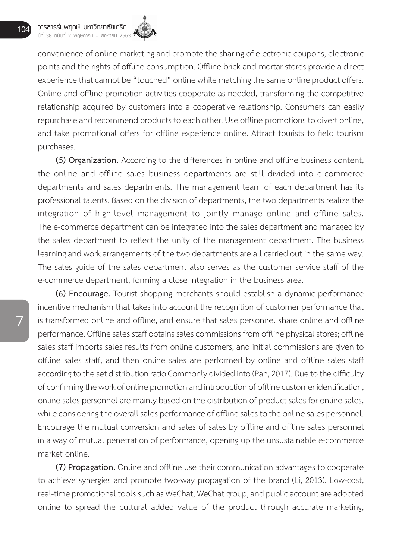convenience of online marketing and promote the sharing of electronic coupons, electronic points and the rights of offline consumption. Offline brick-and-mortar stores provide a direct experience that cannot be "touched" online while matching the same online product offers. Online and offline promotion activities cooperate as needed, transforming the competitive relationship acquired by customers into a cooperative relationship. Consumers can easily repurchase and recommend products to each other. Use offline promotions to divert online, and take promotional offers for offline experience online. Attract tourists to field tourism purchases.

**(5) Organization.** According to the differences in online and offline business content, the online and offline sales business departments are still divided into e-commerce departments and sales departments. The management team of each department has its professional talents. Based on the division of departments, the two departments realize the integration of high-level management to jointly manage online and offline sales. The e-commerce department can be integrated into the sales department and managed by the sales department to reflect the unity of the management department. The business learning and work arrangements of the two departments are all carried out in the same way. The sales guide of the sales department also serves as the customer service staff of the e-commerce department, forming a close integration in the business area.

**(6) Encourage.** Tourist shopping merchants should establish a dynamic performance incentive mechanism that takes into account the recognition of customer performance that is transformed online and offline, and ensure that sales personnel share online and offline performance. Offline sales staff obtains sales commissions from offline physical stores; offline sales staff imports sales results from online customers, and initial commissions are given to offline sales staff, and then online sales are performed by online and offline sales staff according to the set distribution ratio Commonly divided into (Pan, 2017). Due to the difficulty of confirming the work of online promotion and introduction of offline customer identification, online sales personnel are mainly based on the distribution of product sales for online sales, while considering the overall sales performance of offline sales to the online sales personnel. Encourage the mutual conversion and sales of sales by offline and offline sales personnel in a way of mutual penetration of performance, opening up the unsustainable e-commerce market online.

**(7) Propagation.** Online and offline use their communication advantages to cooperate to achieve synergies and promote two-way propagation of the brand (Li, 2013). Low-cost, real-time promotional tools such as WeChat, WeChat group, and public account are adopted online to spread the cultural added value of the product through accurate marketing,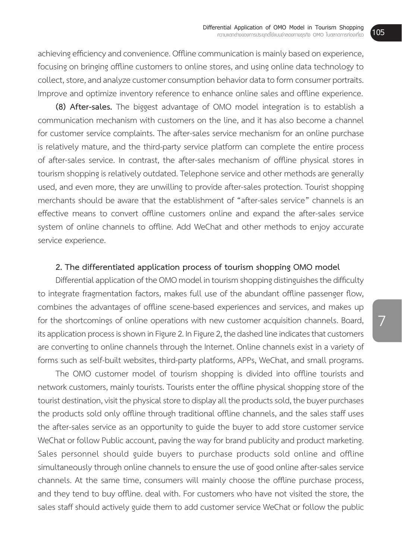achieving efficiency and convenience. Offline communication is mainly based on experience, focusing on bringing offline customers to online stores, and using online data technology to collect, store, and analyze customer consumption behavior data to form consumer portraits. Improve and optimize inventory reference to enhance online sales and offline experience.

**(8) After-sales.** The biggest advantage of OMO model integration is to establish a communication mechanism with customers on the line, and it has also become a channel for customer service complaints. The after-sales service mechanism for an online purchase is relatively mature, and the third-party service platform can complete the entire process of after-sales service. In contrast, the after-sales mechanism of offline physical stores in tourism shopping is relatively outdated. Telephone service and other methods are generally used, and even more, they are unwilling to provide after-sales protection. Tourist shopping merchants should be aware that the establishment of "after-sales service" channels is an effective means to convert offline customers online and expand the after-sales service system of online channels to offline. Add WeChat and other methods to enjoy accurate service experience.

#### **2. The differentiated application process of tourism shopping OMO model**

Differential application of the OMO model in tourism shopping distinguishes the difficulty to integrate fragmentation factors, makes full use of the abundant offline passenger flow, combines the advantages of offline scene-based experiences and services, and makes up for the shortcomings of online operations with new customer acquisition channels. Board, its application process is shown in Figure 2. In Figure 2, the dashed line indicates that customers are converting to online channels through the Internet. Online channels exist in a variety of forms such as self-built websites, third-party platforms, APPs, WeChat, and small programs.

 The OMO customer model of tourism shopping is divided into offline tourists and network customers, mainly tourists. Tourists enter the offline physical shopping store of the tourist destination, visit the physical store to display all the products sold, the buyer purchases the products sold only offline through traditional offline channels, and the sales staff uses the after-sales service as an opportunity to guide the buyer to add store customer service WeChat or follow Public account, paving the way for brand publicity and product marketing. Sales personnel should guide buyers to purchase products sold online and offline simultaneously through online channels to ensure the use of good online after-sales service channels. At the same time, consumers will mainly choose the offline purchase process, and they tend to buy offline. deal with. For customers who have not visited the store, the sales staff should actively guide them to add customer service WeChat or follow the public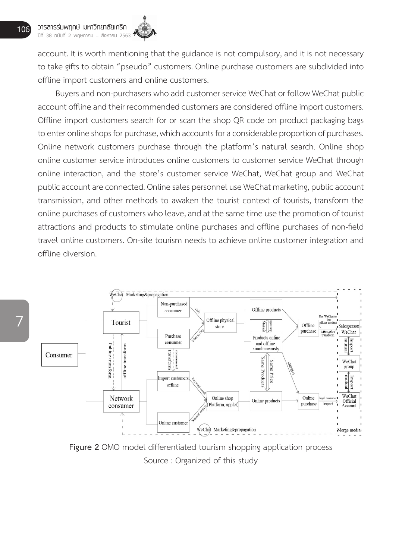account. It is worth mentioning that the guidance is not compulsory, and it is not necessary to take gifts to obtain "pseudo" customers. Online purchase customers are subdivided into offline import customers and online customers.

Buyers and non-purchasers who add customer service WeChat or follow WeChat public account offline and their recommended customers are considered offline import customers. Offline import customers search for or scan the shop QR code on product packaging bags to enter online shops for purchase, which accounts for a considerable proportion of purchases. Online network customers purchase through the platform's natural search. Online shop online customer service introduces online customers to customer service WeChat through online interaction, and the store's customer service WeChat, WeChat group and WeChat public account are connected. Online sales personnel use WeChat marketing, public account transmission, and other methods to awaken the tourist context of tourists, transform the online purchases of customers who leave, and at the same time use the promotion of tourist attractions and products to stimulate online purchases and offline purchases of non-field travel online customers. On-site tourism needs to achieve online customer integration and offline diversion.



**Figure 2** OMO model differentiated tourism shopping application process Source : Organized of this study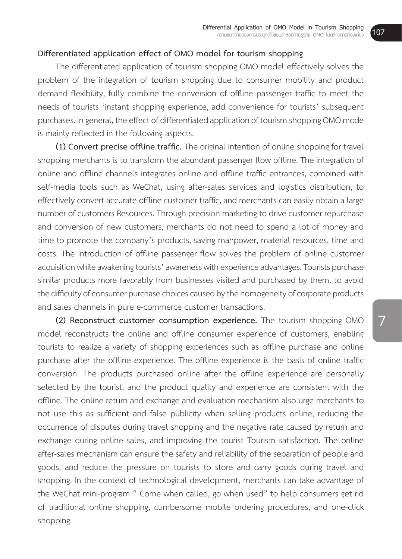#### **Differentiated application effect of OMO model for tourism shopping**

 The differentiated application of tourism shopping OMO model effectively solves the problem of the integration of tourism shopping due to consumer mobility and product demand flexibility, fully combine the conversion of offline passenger traffic to meet the needs of tourists 'instant shopping experience, add convenience for tourists' subsequent purchases. In general, the effect of differentiated application of tourism shopping OMO mode is mainly reflected in the following aspects.

**(1) Convert precise offline traffic.** The original intention of online shopping for travel shopping merchants is to transform the abundant passenger flow offline. The integration of online and offline channels integrates online and offline traffic entrances, combined with self-media tools such as WeChat, using after-sales services and logistics distribution, to effectively convert accurate offline customer traffic, and merchants can easily obtain a large number of customers Resources. Through precision marketing to drive customer repurchase and conversion of new customers, merchants do not need to spend a lot of money and time to promote the company's products, saving manpower, material resources, time and costs. The introduction of offline passenger flow solves the problem of online customer acquisition while awakening tourists' awareness with experience advantages. Tourists purchase similar products more favorably from businesses visited and purchased by them, to avoid the difficulty of consumer purchase choices caused by the homogeneity of corporate products and sales channels in pure e-commerce customer transactions.

**(2) Reconstruct customer consumption experience.** The tourism shopping OMO model reconstructs the online and offline consumer experience of customers, enabling tourists to realize a variety of shopping experiences such as offline purchase and online purchase after the offline experience. The offline experience is the basis of online traffic conversion. The products purchased online after the offline experience are personally selected by the tourist, and the product quality and experience are consistent with the offline. The online return and exchange and evaluation mechanism also urge merchants to not use this as sufficient and false publicity when selling products online, reducing the occurrence of disputes during travel shopping and the negative rate caused by return and exchange during online sales, and improving the tourist Tourism satisfaction. The online after-sales mechanism can ensure the safety and reliability of the separation of people and goods, and reduce the pressure on tourists to store and carry goods during travel and shopping. In the context of technological development, merchants can take advantage of the WeChat mini-program " Come when called, go when used" to help consumers get rid of traditional online shopping, cumbersome mobile ordering procedures, and one-click shopping.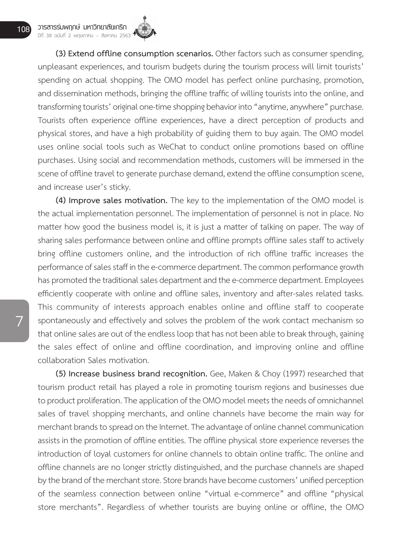**(3) Extend offline consumption scenarios.** Other factors suchas consumer spending, unpleasant experiences, and tourism budgets during the tourism process will limit tourists' spending on actual shopping. The OMO model has perfect online purchasing, promotion, and dissemination methods, bringing the offline traffic of willing tourists into the online, and transforming tourists' original one-time shopping behavior into "anytime, anywhere" purchase. Tourists often experience offline experiences, have a direct perception of products and physical stores, and have a high probability of guiding them to buy again. The OMO model uses online social tools such as WeChat to conduct online promotions based on offline purchases. Using social and recommendation methods, customers will be immersed in the scene of offline travel to generate purchase demand, extend the offline consumption scene, and increase user's sticky.

**(4) Improve sales motivation.** The key to the implementation of the OMO model is the actual implementation personnel. The implementation of personnel is not in place. No matter how good the business model is, it is just a matter of talking on paper. The way of sharing sales performance between online and offline prompts offline sales staff to actively bring offline customers online, and the introduction of rich offline traffic increases the performance of sales staff in the e-commerce department. The common performance growth has promoted the traditional sales department and the e-commerce department. Employees efficiently cooperate with online and offline sales, inventory and after-sales related tasks. This community of interests approach enables online and offline staff to cooperate spontaneously and effectively and solves the problem of the work contact mechanism so that online sales are out of the endless loop that has not been able to break through, gaining the sales effect of online and offline coordination, and improving online and offline collaboration Sales motivation.

**(5) Increase business brand recognition.** Gee, Maken & Choy (1997) researched that tourism product retail has played a role in promoting tourism regions and businesses due to product proliferation. The application of the OMO model meets the needs of omnichannel sales of travel shopping merchants, and online channels have become the main way for merchant brands to spread on the Internet. The advantage of online channel communication assists in the promotion of offline entities. The offline physical store experience reverses the introduction of loyal customers for online channels to obtain online traffic. The online and offline channels are no longer strictly distinguished, and the purchase channels are shaped by the brand of the merchant store. Store brands have become customers' unified perception of the seamless connection between online "virtual e-commerce" and offline "physical store merchants". Regardless of whether tourists are buying online or offline, the OMO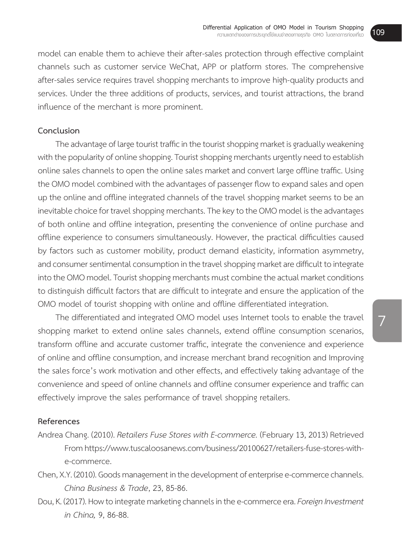model can enable them to achieve their after-sales protection through effective complaint channels such as customer service WeChat, APP or platform stores. The comprehensive after-sales service requires travel shopping merchants to improve high-quality products and services. Under the three additions of products, services, and tourist attractions, the brand influence of the merchant is more prominent.

#### **Conclusion**

The advantage of large tourist traffic in the tourist shopping market is gradually weakening with the popularity of online shopping. Tourist shopping merchants urgently need to establish online sales channels to open the online sales market and convert large offline traffic. Using the OMO model combined with the advantages of passenger flow to expand sales and open up the online and offline integrated channels of the travel shopping market seems to be an inevitable choice for travel shopping merchants. The key to the OMO model is the advantages of both online and offline integration, presenting the convenience of online purchase and offline experience to consumers simultaneously. However, the practical difficulties caused by factors such as customer mobility, product demand elasticity, information asymmetry, and consumer sentimental consumption in the travel shopping market are difficult to integrate into the OMO model. Tourist shopping merchants must combine the actual market conditions to distinguish difficult factors that are difficult to integrate and ensure the application of the OMO model of tourist shopping with online and offline differentiated integration.

 The differentiated and integrated OMO model uses Internet tools to enable the travel shopping market to extend online sales channels, extend offline consumption scenarios, transform offline and accurate customer traffic, integrate the convenience and experience of online and offline consumption, and increase merchant brand recognition and Improving the sales force's work motivation and other effects, and effectively taking advantage of the convenience and speed of online channels and offline consumer experience and traffic can effectively improve the sales performance of travel shopping retailers.

#### **References**

- Andrea Chang. (2010).*Retailers Fuse Stores with E-commerce.* (February 13, 2013)Retrieved Fromhttps://www.tuscaloosanews.com/business/20100627/retailers-fuse-stores-withe-commerce.
- Chen, X.Y. (2010). Goods management in the development of enterprise e-commerce channels. *China Business & Trade*, 23, 85-86.
- Dou, K. (2017). How to integrate marketing channels in the e-commerce era. Foreign Investment *in China,* 9, 86-88.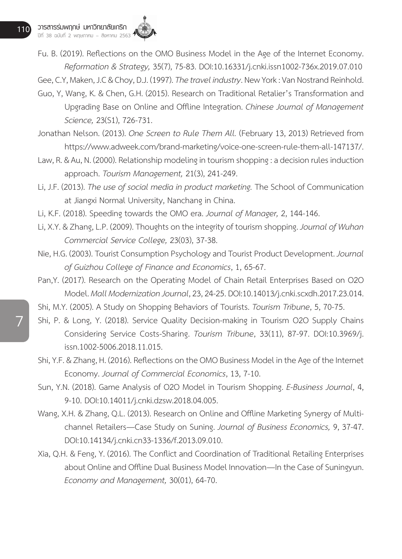7

Fu. B. (2019). Reflections on the OMO Business Model in the Age of the Internet Economy. *Reformation & Strategy,* 35(7), 75-83. DOI:10.16331/j.cnki.issn1002-736x.2019.07.010

Gee, C.Y. Maken, J.C & Chov, D.J. (1997). *The travel industry*. New York: Van Nostrand Reinhold.

- Guo, Y, Wang, K. & Chen, G.H. (2015). Research on Traditional Retalier's Transformation and Upgrading Base on Online and Offline Integration. *Chinese Journal of Management Science,* 23(S1), 726-731.
- Jonathan Nelson. (2013). *One Screen to Rule Them All.* (February 13, 2013) Retrieved from https://www.adweek.com/brand-marketing/voice-one-screen-rule-them-all-147137/.
- Law, R. & Au, N. (2000). Relationship modeling in tourism shopping: a decision rules induction approach. *Tourism Management,* 21(3), 241-249.
- Li, J.F. (2013). *The use of social media in product marketing*. The School of Communication at Jiangxi Normal University, Nanchang in China.
- Li, K.F. (2018). Speeding towards the OMO era. *Journal of Manager,* 2, 144-146.
- Li, X.Y. & Zhang, L.P. (2009). Thoughts on the integrity of tourism shopping. *Journal of Wuhan Commercial Service College,* 23(03), 37-38.
- Nie, H.G. (2003). Tourist Consumption Psychology and Tourist Product Development. *Journal of Guizhou College of Finance and Economics*, 1, 65-67.
- Pan,Y. (2017). Research on the Operating Model of Chain Retail Enterprises Based on O2O Model. *Mall Modernization Journal*,23,24-25. DOI:10.14013/j.cnki.scxdh.2017.23.014.
- Shi, M.Y. (2005). A Study on Shopping Behaviors of Tourists. *Tourism Tribune*, 5, 70-75.
- Shi, P. & Long, Y. (2018). Service Quality Decision-making in Tourism O2O Supply Chains Considering Service Costs-Sharing. *Tourism Tribune*, 33(11), 87-97. DOI:10.3969/j. issn.1002-5006.2018.11.015.
- Shi, Y.F. & Zhang, H. (2016). Reflections on the OMO Business Model in the Age of the Internet Economy. *Journal of Commercial Economics*, 13, 7-10.
- Sun, Y.N. (2018). Game Analysis of O2O Model in Tourism Shopping. *E-Business Journal*, 4, 9-10. DOI:10.14011/j.cnki.dzsw.2018.04.005.
- Wang, X.H. & Zhang, Q.L. (2013). Research on Online and Offline Marketing Synergy of Multichannel Retailers—Case Study on Suning. *Journal of Business Economics,* 9, 37-47. DOI:10.14134/j.cnki.cn33-1336/f.2013.09.010.
- Xia, Q.H. & Feng, Y. (2016). The Conflict and Coordination of Traditional Retailing Enterprises about Online and Offline Dual Business Model Innovation—In the Case of Suningyun. *Economy and Management,* 30(01), 64-70.